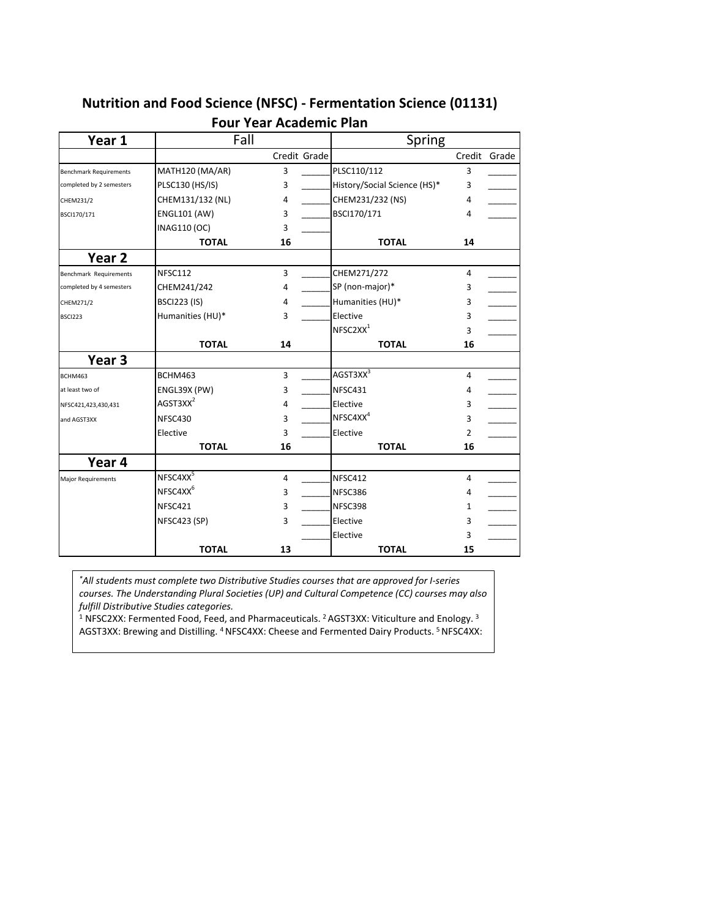## **Nutrition and Food Science (NFSC) - Fermentation Science (01131)**

| Year 1                        | Fall                 |              | Spring                       |    |              |
|-------------------------------|----------------------|--------------|------------------------------|----|--------------|
|                               |                      | Credit Grade |                              |    | Credit Grade |
| <b>Benchmark Requirements</b> | MATH120 (MA/AR)      | 3            | PLSC110/112                  | 3  |              |
| completed by 2 semesters      | PLSC130 (HS/IS)      | 3            | History/Social Science (HS)* | 3  |              |
| CHEM231/2                     | CHEM131/132 (NL)     | 4            | CHEM231/232 (NS)             | 4  |              |
| BSCI170/171                   | <b>ENGL101 (AW)</b>  | 3            | BSCI170/171                  | 4  |              |
|                               | INAG110 (OC)         | 3            |                              |    |              |
|                               | <b>TOTAL</b>         | 16           | <b>TOTAL</b>                 | 14 |              |
| Year <sub>2</sub>             |                      |              |                              |    |              |
| Benchmark Requirements        | NFSC112              | 3            | CHEM271/272                  | 4  |              |
| completed by 4 semesters      | CHEM241/242          | 4            | SP (non-major)*              | 3  |              |
| CHEM271/2                     | <b>BSCI223 (IS)</b>  | 4            | Humanities (HU)*             | 3  |              |
| <b>BSCI223</b>                | Humanities (HU)*     | 3            | Elective                     | 3  |              |
|                               |                      |              | NFSC2XX <sup>1</sup>         | 3  |              |
|                               | <b>TOTAL</b>         | 14           | <b>TOTAL</b>                 | 16 |              |
| Year <sub>3</sub>             |                      |              |                              |    |              |
| BCHM463                       | BCHM463              | 3            | AGST3XX <sup>3</sup>         | 4  |              |
| at least two of               | ENGL39X (PW)         | 3            | NFSC431                      | 4  |              |
| NFSC421,423,430,431           | AGST3XX <sup>2</sup> | 4            | Elective                     | 3  |              |
| and AGST3XX                   | NFSC430              | 3            | NFSC4XX <sup>4</sup>         | 3  |              |
|                               | Elective             | 3            | Elective                     | 2  |              |
|                               | <b>TOTAL</b>         | 16           | <b>TOTAL</b>                 | 16 |              |
| Year 4                        |                      |              |                              |    |              |
| Major Requirements            | NFSC4XX <sup>5</sup> | 4            | NFSC412                      | 4  |              |
|                               | NFSC4XX <sup>6</sup> | 3            | NFSC386                      | 4  |              |
|                               | NFSC421              | 3            | NFSC398                      | 1  |              |
|                               | NFSC423 (SP)         | 3            | Elective                     | 3  |              |
|                               |                      |              | Elective                     | 3  |              |
|                               | <b>TOTAL</b>         | 13           | <b>TOTAL</b>                 | 15 |              |

## **Four Year Academic Plan**

*\*All students must complete two Distributive Studies courses that are approved for I-series courses. The Understanding Plural Societies (UP) and Cultural Competence (CC) courses may also fulfill Distributive Studies categories.*

<sup>1</sup> NFSC2XX: Fermented Food, Feed, and Pharmaceuticals. <sup>2</sup> AGST3XX: Viticulture and Enology. <sup>3</sup> AGST3XX: Brewing and Distilling. 4 NFSC4XX: Cheese and Fermented Dairy Products. 5 NFSC4XX: